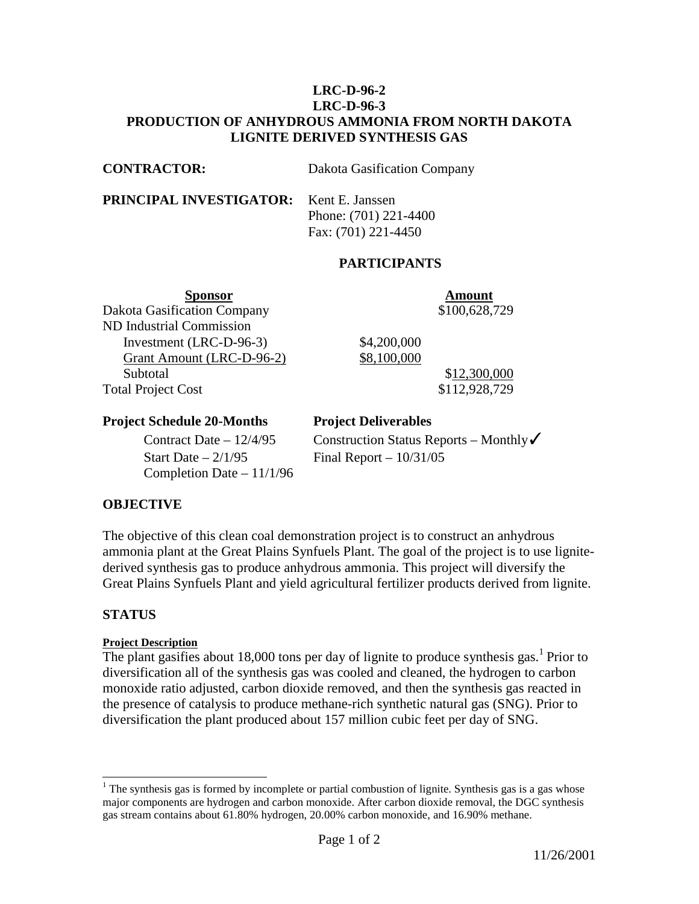## **LRC-D-96-2 LRC-D-96-3 PRODUCTION OF ANHYDROUS AMMONIA FROM NORTH DAKOTA LIGNITE DERIVED SYNTHESIS GAS**

**CONTRACTOR:** Dakota Gasification Company

**PRINCIPAL INVESTIGATOR:** Kent E. Janssen

 Phone: (701) 221-4400 Fax: (701) 221-4450

# **PARTICIPANTS**

**Sponsor Amount** Dakota Gasification Company \$100,628,729 ND Industrial Commission Investment (LRC-D-96-3) \$4,200,000 Grant Amount (LRC-D-96-2) \$8,100,000 Subtotal \$12,300,000

Total Project Cost \$112,928,729

## **Project Schedule 20-Months Project Deliverables**

Start Date  $-2/1/95$  Final Report  $-10/31/05$ Completion Date – 11/1/96

Contract Date – 12/4/95 Construction Status Reports – Monthly

# **OBJECTIVE**

The objective of this clean coal demonstration project is to construct an anhydrous ammonia plant at the Great Plains Synfuels Plant. The goal of the project is to use lignitederived synthesis gas to produce anhydrous ammonia. This project will diversify the Great Plains Synfuels Plant and yield agricultural fertilizer products derived from lignite.

# **STATUS**

 $\overline{a}$ 

## **Project Description**

The plant gasifies about 18,000 tons per day of lignite to produce synthesis gas.<sup>1</sup> Prior to diversification all of the synthesis gas was cooled and cleaned, the hydrogen to carbon monoxide ratio adjusted, carbon dioxide removed, and then the synthesis gas reacted in the presence of catalysis to produce methane-rich synthetic natural gas (SNG). Prior to diversification the plant produced about 157 million cubic feet per day of SNG.

 $1$ <sup>1</sup> The synthesis gas is formed by incomplete or partial combustion of lignite. Synthesis gas is a gas whose major components are hydrogen and carbon monoxide. After carbon dioxide removal, the DGC synthesis gas stream contains about 61.80% hydrogen, 20.00% carbon monoxide, and 16.90% methane.